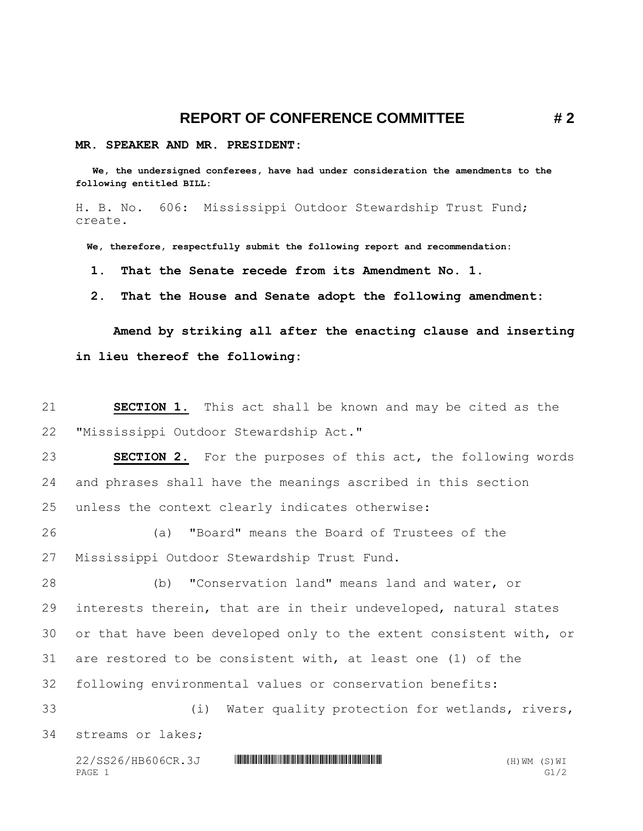## **REPORT OF CONFERENCE COMMITTEE # 2**

## **MR. SPEAKER AND MR. PRESIDENT:**

 **We, the undersigned conferees, have had under consideration the amendments to the following entitled BILL:**

H. B. No. 606: Mississippi Outdoor Stewardship Trust Fund; create.

 **We, therefore, respectfully submit the following report and recommendation:**

 **1. That the Senate recede from its Amendment No. 1.**

 **2. That the House and Senate adopt the following amendment:**

**Amend by striking all after the enacting clause and inserting in lieu thereof the following:**

21 **SECTION 1.** This act shall be known and may be cited as the 22 "Mississippi Outdoor Stewardship Act."

23 **SECTION 2.** For the purposes of this act, the following words 24 and phrases shall have the meanings ascribed in this section 25 unless the context clearly indicates otherwise:

26 (a) "Board" means the Board of Trustees of the 27 Mississippi Outdoor Stewardship Trust Fund.

 (b) "Conservation land" means land and water, or interests therein, that are in their undeveloped, natural states or that have been developed only to the extent consistent with, or are restored to be consistent with, at least one (1) of the following environmental values or conservation benefits:

33 (i) Water quality protection for wetlands, rivers, 34 streams or lakes;

22/SS26/HB606CR.3J **WILLIAM SERVER SERVER SERVER SERVER SERVER SERVER SERVER SERVER SERVER SERVER SERVER SERVER** PAGE 1 G1/2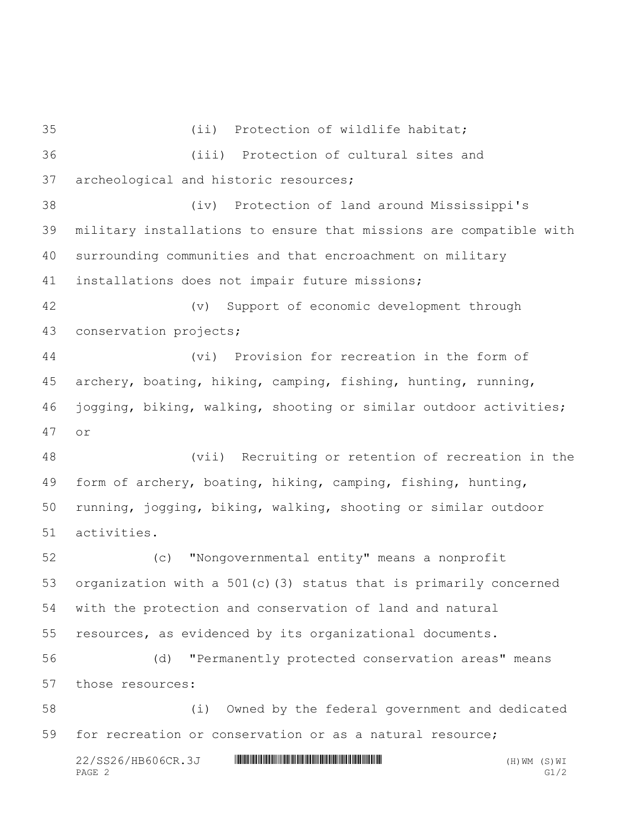(ii) Protection of wildlife habitat; (iii) Protection of cultural sites and archeological and historic resources; (iv) Protection of land around Mississippi's military installations to ensure that missions are compatible with surrounding communities and that encroachment on military installations does not impair future missions; (v) Support of economic development through conservation projects; (vi) Provision for recreation in the form of archery, boating, hiking, camping, fishing, hunting, running, jogging, biking, walking, shooting or similar outdoor activities; or (vii) Recruiting or retention of recreation in the form of archery, boating, hiking, camping, fishing, hunting, running, jogging, biking, walking, shooting or similar outdoor activities. (c) "Nongovernmental entity" means a nonprofit organization with a 501(c)(3) status that is primarily concerned with the protection and conservation of land and natural resources, as evidenced by its organizational documents. (d) "Permanently protected conservation areas" means those resources: (i) Owned by the federal government and dedicated for recreation or conservation or as a natural resource;

 $22/SS26/HB606CR.3J$  \* HIMM THE HIM HIM THE HIM HIM THE HIM THE HIM (B) WE (H) WM (S) WI PAGE 2 G1/2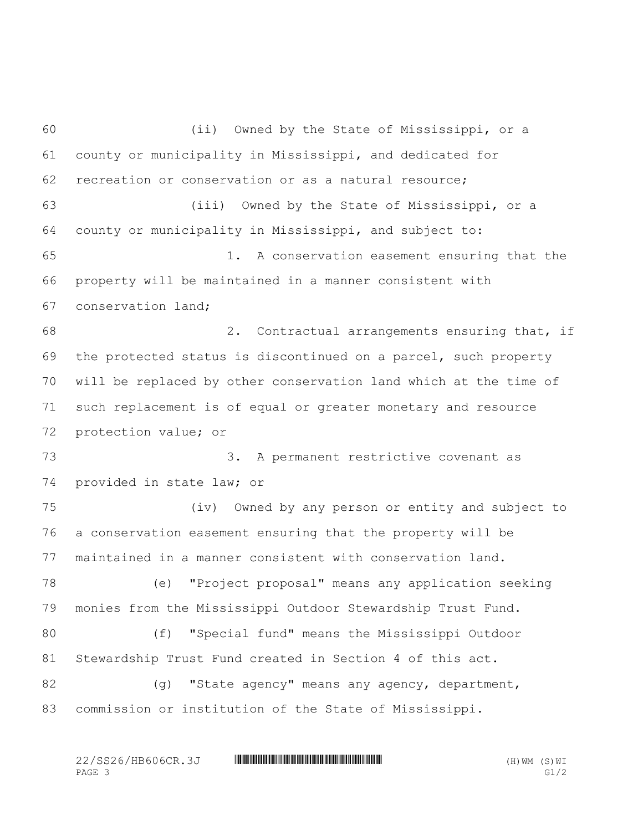(ii) Owned by the State of Mississippi, or a county or municipality in Mississippi, and dedicated for recreation or conservation or as a natural resource; (iii) Owned by the State of Mississippi, or a county or municipality in Mississippi, and subject to: 1. A conservation easement ensuring that the property will be maintained in a manner consistent with conservation land; 2. Contractual arrangements ensuring that, if the protected status is discontinued on a parcel, such property will be replaced by other conservation land which at the time of such replacement is of equal or greater monetary and resource protection value; or 3. A permanent restrictive covenant as provided in state law; or (iv) Owned by any person or entity and subject to a conservation easement ensuring that the property will be maintained in a manner consistent with conservation land. (e) "Project proposal" means any application seeking monies from the Mississippi Outdoor Stewardship Trust Fund. (f) "Special fund" means the Mississippi Outdoor Stewardship Trust Fund created in Section 4 of this act. 82 (g) "State agency" means any agency, department, commission or institution of the State of Mississippi.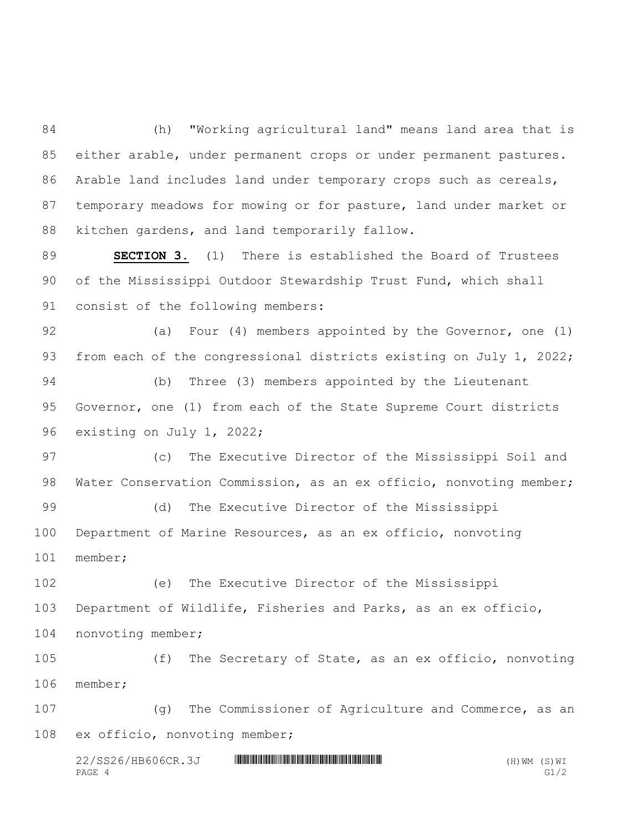(h) "Working agricultural land" means land area that is either arable, under permanent crops or under permanent pastures. Arable land includes land under temporary crops such as cereals, temporary meadows for mowing or for pasture, land under market or kitchen gardens, and land temporarily fallow.

 **SECTION 3.** (1) There is established the Board of Trustees of the Mississippi Outdoor Stewardship Trust Fund, which shall consist of the following members:

 (a) Four (4) members appointed by the Governor, one (1) from each of the congressional districts existing on July 1, 2022; (b) Three (3) members appointed by the Lieutenant Governor, one (1) from each of the State Supreme Court districts existing on July 1, 2022;

 (c) The Executive Director of the Mississippi Soil and Water Conservation Commission, as an ex officio, nonvoting member;

 (d) The Executive Director of the Mississippi Department of Marine Resources, as an ex officio, nonvoting member;

 (e) The Executive Director of the Mississippi Department of Wildlife, Fisheries and Parks, as an ex officio, nonvoting member;

 (f) The Secretary of State, as an ex officio, nonvoting member;

 (g) The Commissioner of Agriculture and Commerce, as an ex officio, nonvoting member;

 $22/SS26/HB606CR.3J$  \* HIMM THE HIM HIM THE HIM HIM THE HIM THE HIM (B) WE (H) WM (S) WI PAGE 4 G1/2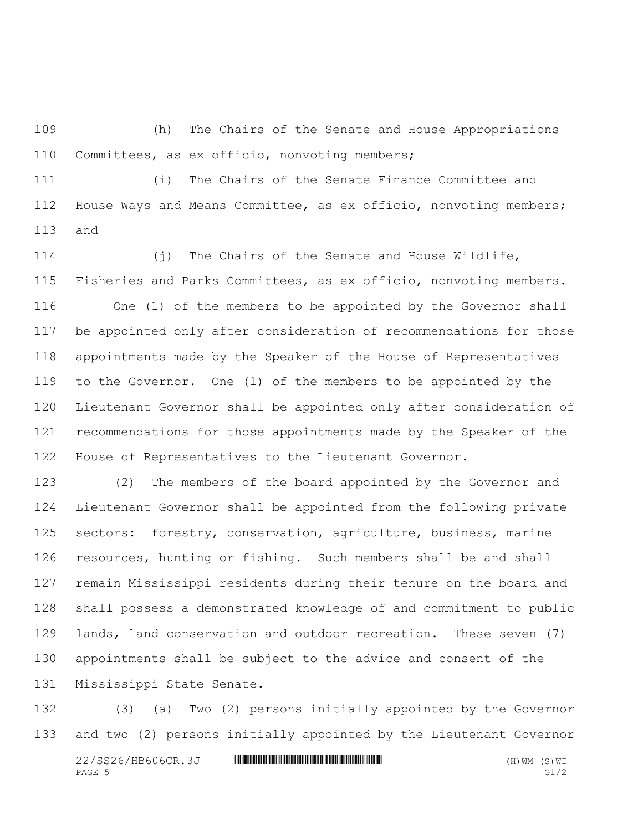(h) The Chairs of the Senate and House Appropriations Committees, as ex officio, nonvoting members;

 (i) The Chairs of the Senate Finance Committee and House Ways and Means Committee, as ex officio, nonvoting members; and

 (j) The Chairs of the Senate and House Wildlife, Fisheries and Parks Committees, as ex officio, nonvoting members. One (1) of the members to be appointed by the Governor shall be appointed only after consideration of recommendations for those appointments made by the Speaker of the House of Representatives to the Governor. One (1) of the members to be appointed by the Lieutenant Governor shall be appointed only after consideration of recommendations for those appointments made by the Speaker of the House of Representatives to the Lieutenant Governor.

 (2) The members of the board appointed by the Governor and Lieutenant Governor shall be appointed from the following private sectors: forestry, conservation, agriculture, business, marine resources, hunting or fishing. Such members shall be and shall remain Mississippi residents during their tenure on the board and shall possess a demonstrated knowledge of and commitment to public lands, land conservation and outdoor recreation. These seven (7) appointments shall be subject to the advice and consent of the Mississippi State Senate.

 (3) (a) Two (2) persons initially appointed by the Governor and two (2) persons initially appointed by the Lieutenant Governor

 $22/SS26/HB606CR.3J$  \* HIMMINIHIKININIHIKININIHIKININIHIKININIHIKINI \*\*\* (H)WM (S)WI PAGE 5 G1/2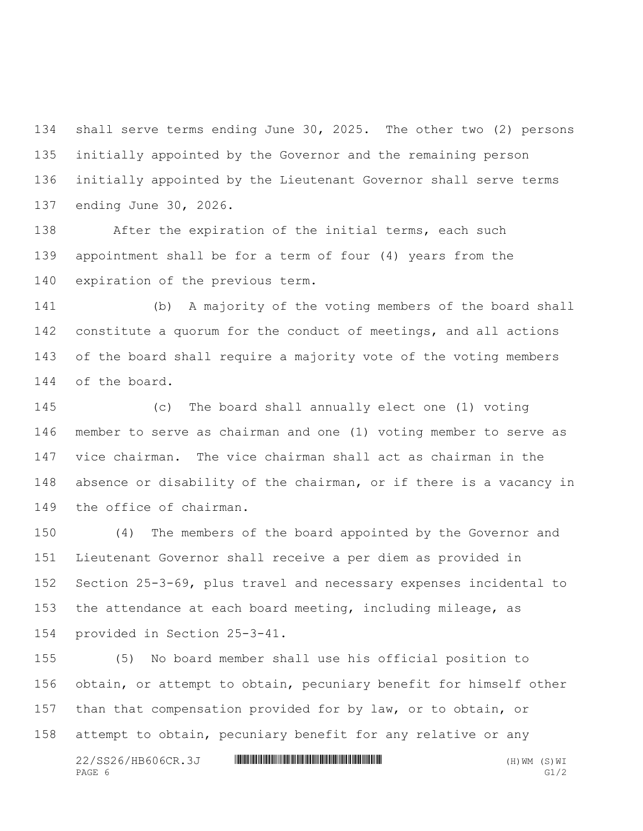shall serve terms ending June 30, 2025. The other two (2) persons initially appointed by the Governor and the remaining person initially appointed by the Lieutenant Governor shall serve terms ending June 30, 2026.

 After the expiration of the initial terms, each such appointment shall be for a term of four (4) years from the expiration of the previous term.

 (b) A majority of the voting members of the board shall constitute a quorum for the conduct of meetings, and all actions of the board shall require a majority vote of the voting members of the board.

 (c) The board shall annually elect one (1) voting member to serve as chairman and one (1) voting member to serve as vice chairman. The vice chairman shall act as chairman in the absence or disability of the chairman, or if there is a vacancy in the office of chairman.

 (4) The members of the board appointed by the Governor and Lieutenant Governor shall receive a per diem as provided in Section 25-3-69, plus travel and necessary expenses incidental to the attendance at each board meeting, including mileage, as provided in Section 25-3-41.

 (5) No board member shall use his official position to obtain, or attempt to obtain, pecuniary benefit for himself other than that compensation provided for by law, or to obtain, or attempt to obtain, pecuniary benefit for any relative or any

 $22/SS26/HB606CR.3J$  \* HIMMINIHIKININIHIKININIHIKININIHIKININIHIKINI \*\*\* (H)WM (S)WI PAGE 6 G1/2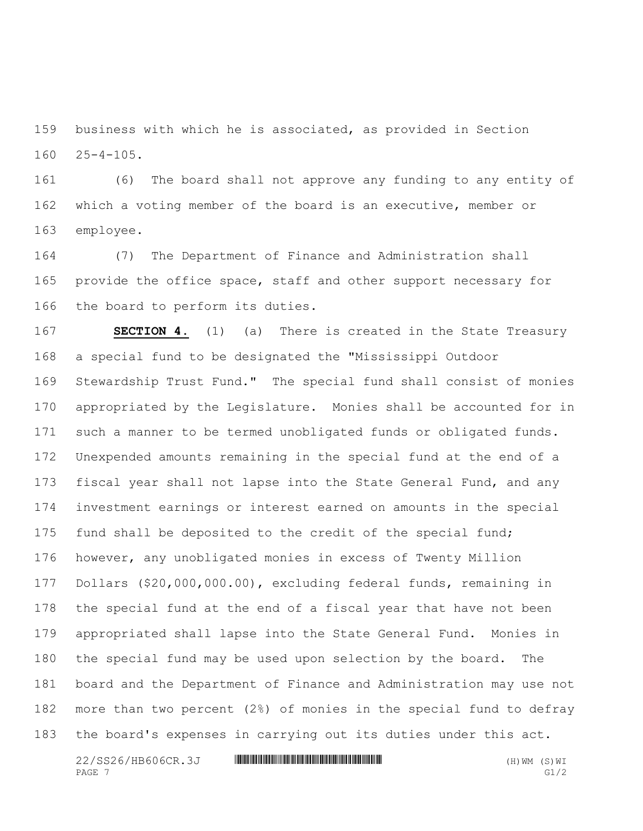business with which he is associated, as provided in Section 25-4-105.

 (6) The board shall not approve any funding to any entity of which a voting member of the board is an executive, member or employee.

 (7) The Department of Finance and Administration shall 165 provide the office space, staff and other support necessary for the board to perform its duties.

 **SECTION 4.** (1) (a) There is created in the State Treasury a special fund to be designated the "Mississippi Outdoor Stewardship Trust Fund." The special fund shall consist of monies appropriated by the Legislature. Monies shall be accounted for in such a manner to be termed unobligated funds or obligated funds. Unexpended amounts remaining in the special fund at the end of a 173 fiscal year shall not lapse into the State General Fund, and any investment earnings or interest earned on amounts in the special fund shall be deposited to the credit of the special fund; however, any unobligated monies in excess of Twenty Million Dollars (\$20,000,000.00), excluding federal funds, remaining in the special fund at the end of a fiscal year that have not been appropriated shall lapse into the State General Fund. Monies in the special fund may be used upon selection by the board. The board and the Department of Finance and Administration may use not more than two percent (2%) of monies in the special fund to defray the board's expenses in carrying out its duties under this act.

 $22/SS26/HB606CR.3J$  \* HIMMINIHIKININIHIKININIHIKININIHIKININIHIKINI \*\*\* (H)WM (S)WI PAGE  $7$  G1/2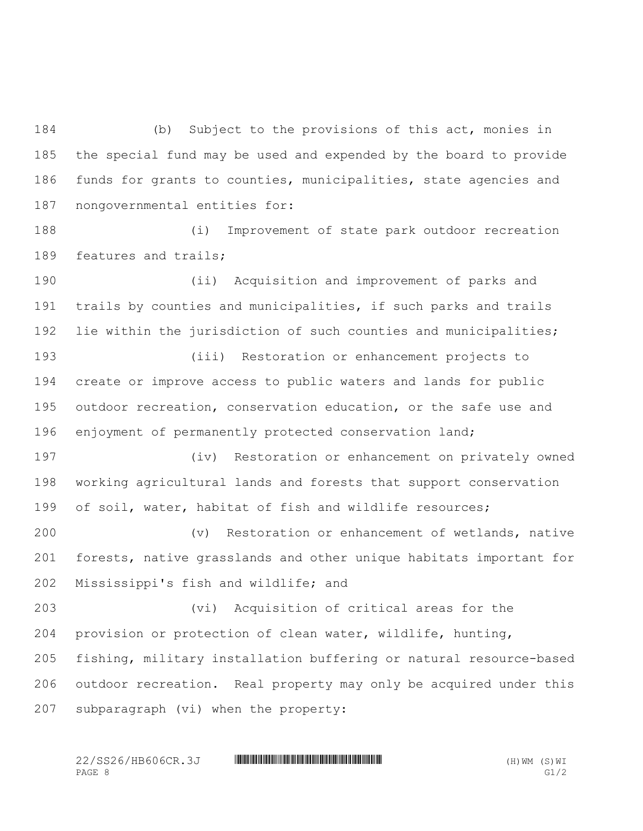(b) Subject to the provisions of this act, monies in the special fund may be used and expended by the board to provide funds for grants to counties, municipalities, state agencies and nongovernmental entities for:

 (i) Improvement of state park outdoor recreation 189 features and trails;

 (ii) Acquisition and improvement of parks and trails by counties and municipalities, if such parks and trails lie within the jurisdiction of such counties and municipalities; (iii) Restoration or enhancement projects to

 create or improve access to public waters and lands for public outdoor recreation, conservation education, or the safe use and enjoyment of permanently protected conservation land;

 (iv) Restoration or enhancement on privately owned working agricultural lands and forests that support conservation of soil, water, habitat of fish and wildlife resources;

 (v) Restoration or enhancement of wetlands, native forests, native grasslands and other unique habitats important for Mississippi's fish and wildlife; and

 (vi) Acquisition of critical areas for the provision or protection of clean water, wildlife, hunting, fishing, military installation buffering or natural resource-based outdoor recreation. Real property may only be acquired under this subparagraph (vi) when the property: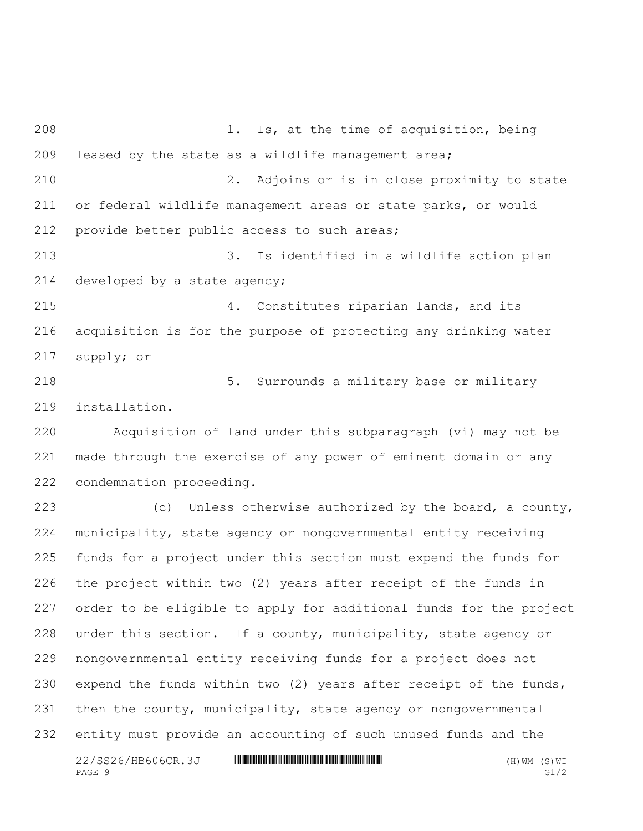$22/SS26/HB606CR.3J$  \* HIMMINIHIKININIHIKININIHIKININIHIKININIHIKINI \*\*\* (H)WM (S)WI 1. Is, at the time of acquisition, being leased by the state as a wildlife management area; 2. Adjoins or is in close proximity to state or federal wildlife management areas or state parks, or would provide better public access to such areas; 3. Is identified in a wildlife action plan developed by a state agency; 4. Constitutes riparian lands, and its acquisition is for the purpose of protecting any drinking water supply; or 5. Surrounds a military base or military installation. Acquisition of land under this subparagraph (vi) may not be made through the exercise of any power of eminent domain or any condemnation proceeding. (c) Unless otherwise authorized by the board, a county, municipality, state agency or nongovernmental entity receiving funds for a project under this section must expend the funds for the project within two (2) years after receipt of the funds in order to be eligible to apply for additional funds for the project under this section. If a county, municipality, state agency or nongovernmental entity receiving funds for a project does not expend the funds within two (2) years after receipt of the funds, 231 then the county, municipality, state agency or nongovernmental entity must provide an accounting of such unused funds and the

PAGE 9 G1/2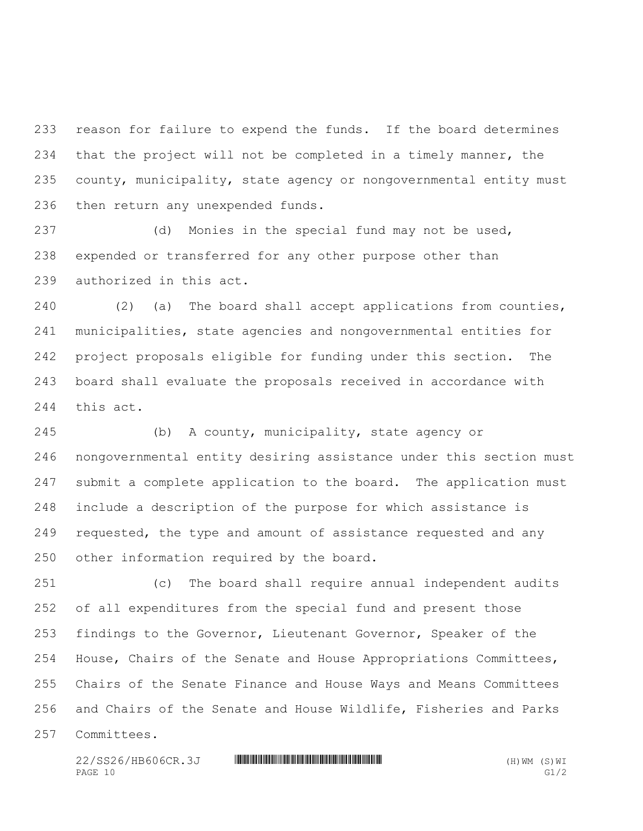reason for failure to expend the funds. If the board determines that the project will not be completed in a timely manner, the county, municipality, state agency or nongovernmental entity must then return any unexpended funds.

 (d) Monies in the special fund may not be used, expended or transferred for any other purpose other than authorized in this act.

 (2) (a) The board shall accept applications from counties, municipalities, state agencies and nongovernmental entities for project proposals eligible for funding under this section. The board shall evaluate the proposals received in accordance with this act.

 (b) A county, municipality, state agency or nongovernmental entity desiring assistance under this section must 247 submit a complete application to the board. The application must include a description of the purpose for which assistance is requested, the type and amount of assistance requested and any other information required by the board.

 (c) The board shall require annual independent audits of all expenditures from the special fund and present those findings to the Governor, Lieutenant Governor, Speaker of the House, Chairs of the Senate and House Appropriations Committees, Chairs of the Senate Finance and House Ways and Means Committees and Chairs of the Senate and House Wildlife, Fisheries and Parks Committees.

 $22/SS26/HB606CR.3J$  \* HIMM THE HIM HIM THE HIM HIM THE HIM THE HIM (B) WE (H) WM (S) WI PAGE  $10$  G1/2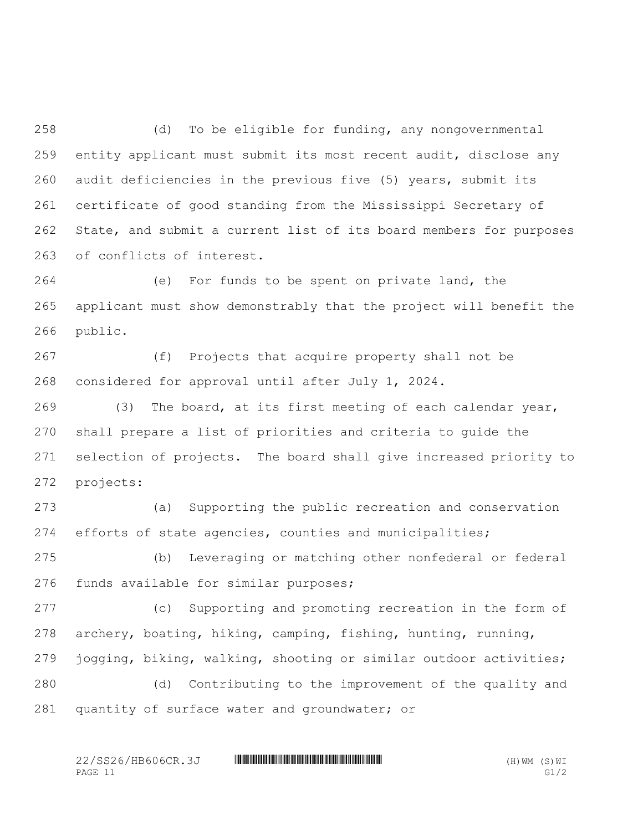(d) To be eligible for funding, any nongovernmental entity applicant must submit its most recent audit, disclose any audit deficiencies in the previous five (5) years, submit its certificate of good standing from the Mississippi Secretary of State, and submit a current list of its board members for purposes of conflicts of interest.

 (e) For funds to be spent on private land, the applicant must show demonstrably that the project will benefit the public.

 (f) Projects that acquire property shall not be considered for approval until after July 1, 2024.

 (3) The board, at its first meeting of each calendar year, shall prepare a list of priorities and criteria to guide the selection of projects. The board shall give increased priority to projects:

 (a) Supporting the public recreation and conservation efforts of state agencies, counties and municipalities;

 (b) Leveraging or matching other nonfederal or federal funds available for similar purposes;

 (c) Supporting and promoting recreation in the form of archery, boating, hiking, camping, fishing, hunting, running, jogging, biking, walking, shooting or similar outdoor activities;

 (d) Contributing to the improvement of the quality and 281 quantity of surface water and groundwater; or

22/SS26/HB606CR.3J \*SS26/OHB606CR.3J\* (H)WM (S)WI PAGE 11 G1/2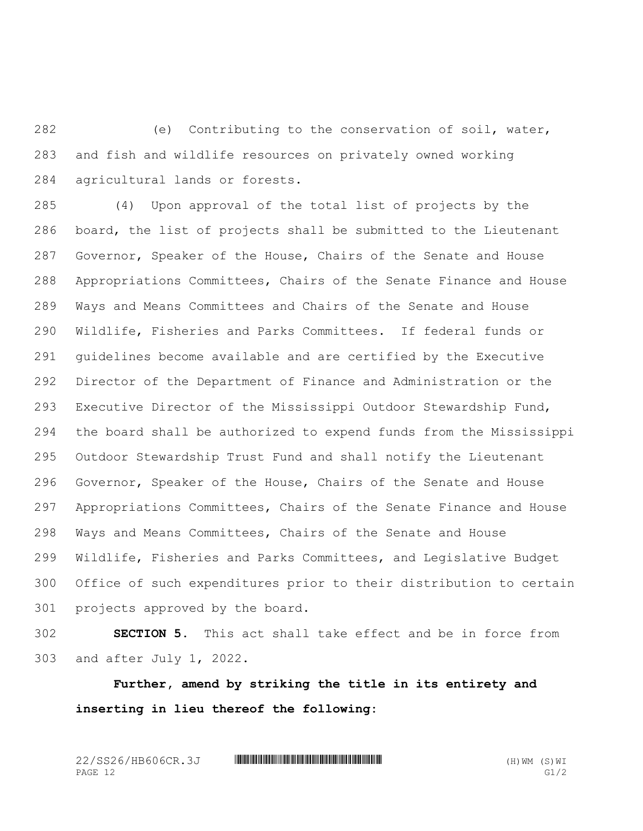(e) Contributing to the conservation of soil, water, and fish and wildlife resources on privately owned working agricultural lands or forests.

 (4) Upon approval of the total list of projects by the board, the list of projects shall be submitted to the Lieutenant Governor, Speaker of the House, Chairs of the Senate and House Appropriations Committees, Chairs of the Senate Finance and House Ways and Means Committees and Chairs of the Senate and House Wildlife, Fisheries and Parks Committees. If federal funds or guidelines become available and are certified by the Executive Director of the Department of Finance and Administration or the Executive Director of the Mississippi Outdoor Stewardship Fund, the board shall be authorized to expend funds from the Mississippi Outdoor Stewardship Trust Fund and shall notify the Lieutenant Governor, Speaker of the House, Chairs of the Senate and House Appropriations Committees, Chairs of the Senate Finance and House Ways and Means Committees, Chairs of the Senate and House Wildlife, Fisheries and Parks Committees, and Legislative Budget Office of such expenditures prior to their distribution to certain projects approved by the board.

 **SECTION 5.** This act shall take effect and be in force from and after July 1, 2022.

**Further, amend by striking the title in its entirety and inserting in lieu thereof the following:**